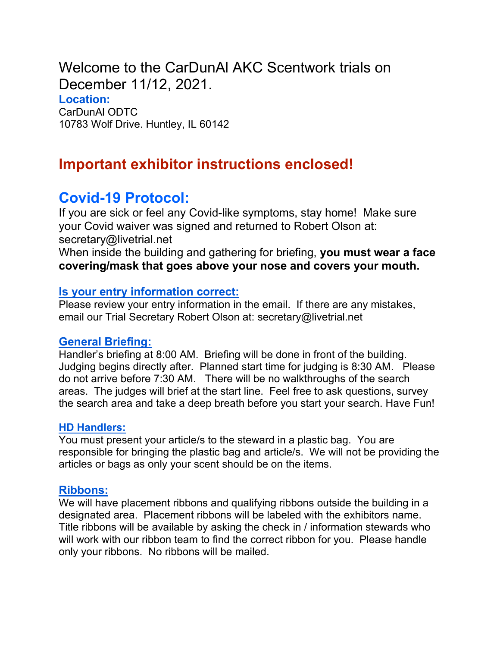Welcome to the CarDunAl AKC Scentwork trials on December 11/12, 2021.

Location: CarDunAl ODTC 10783 Wolf Drive. Huntley, IL 60142

# Important exhibitor instructions enclosed!

## Covid-19 Protocol:

If you are sick or feel any Covid-like symptoms, stay home! Make sure your Covid waiver was signed and returned to Robert Olson at: secretary@livetrial.net

When inside the building and gathering for briefing, you must wear a face covering/mask that goes above your nose and covers your mouth.

### Is your entry information correct:

Please review your entry information in the email. If there are any mistakes, email our Trial Secretary Robert Olson at: secretary@livetrial.net

#### General Briefing:

Handler's briefing at 8:00 AM. Briefing will be done in front of the building. Judging begins directly after. Planned start time for judging is 8:30 AM. Please do not arrive before 7:30 AM. There will be no walkthroughs of the search areas. The judges will brief at the start line. Feel free to ask questions, survey the search area and take a deep breath before you start your search. Have Fun!

#### HD Handlers:

You must present your article/s to the steward in a plastic bag. You are responsible for bringing the plastic bag and article/s. We will not be providing the articles or bags as only your scent should be on the items.

Ribbons:<br>We will have placement ribbons and qualifying ribbons outside the building in a designated area. Placement ribbons will be labeled with the exhibitors name. Title ribbons will be available by asking the check in / information stewards who will work with our ribbon team to find the correct ribbon for you. Please handle only your ribbons. No ribbons will be mailed.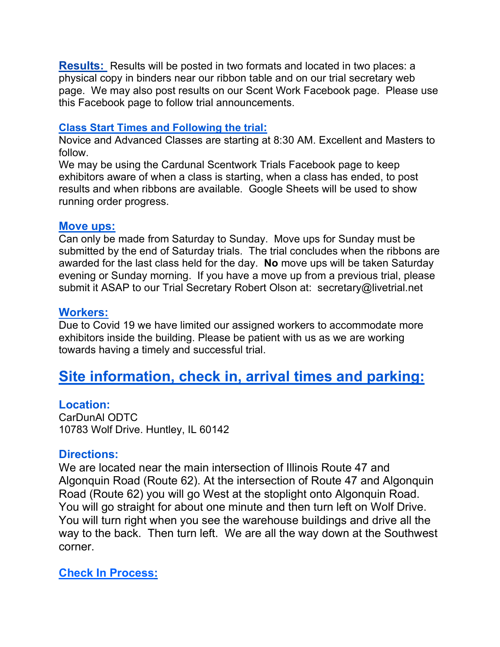**Results:** Results will be posted in two formats and located in two places: a physical copy in binders near our ribbon table and on our trial secretary web page. We may also post results on our Scent Work Facebook page. Please use this Facebook page to follow trial announcements.

#### Class Start Times and Following the trial:

Novice and Advanced Classes are starting at 8:30 AM. Excellent and Masters to follow.

We may be using the Cardunal Scentwork Trials Facebook page to keep exhibitors aware of when a class is starting, when a class has ended, to post results and when ribbons are available. Google Sheets will be used to show running order progress.

Move ups:<br>Can only be made from Saturday to Sunday. Move ups for Sunday must be submitted by the end of Saturday trials. The trial concludes when the ribbons are awarded for the last class held for the day. No move ups will be taken Saturday evening or Sunday morning. If you have a move up from a previous trial, please submit it ASAP to our Trial Secretary Robert Olson at: secretary@livetrial.net

Workers:<br>Due to Covid 19 we have limited our assigned workers to accommodate more exhibitors inside the building. Please be patient with us as we are working towards having a timely and successful trial.

# Site information, check in, arrival times and parking:

**Location:<br>CarDunAl ODTC** 10783 Wolf Drive. Huntley, IL 60142

#### Directions:

We are located near the main intersection of Illinois Route 47 and Algonquin Road (Route 62). At the intersection of Route 47 and Algonquin Road (Route 62) you will go West at the stoplight onto Algonquin Road. You will go straight for about one minute and then turn left on Wolf Drive. You will turn right when you see the warehouse buildings and drive all the way to the back. Then turn left. We are all the way down at the Southwest corner.

Check In Process: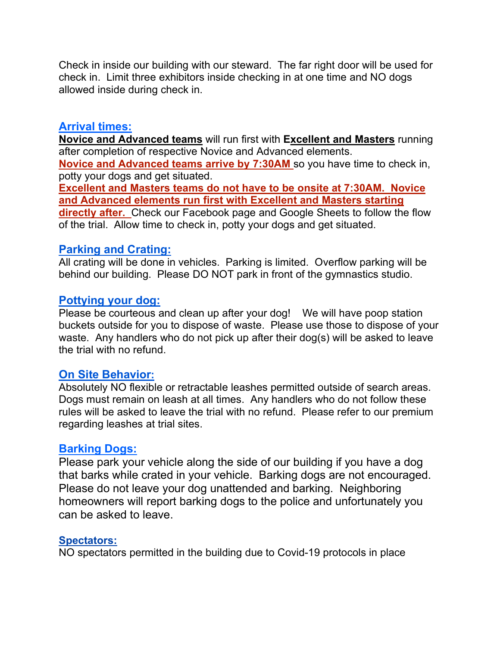Check in inside our building with our steward. The far right door will be used for check in. Limit three exhibitors inside checking in at one time and NO dogs allowed inside during check in.

#### Arrival times:

Novice and Advanced teams will run first with Excellent and Masters running after completion of respective Novice and Advanced elements. Novice and Advanced teams arrive by 7:30AM so you have time to check in, potty your dogs and get situated.

Excellent and Masters teams do not have to be onsite at 7:30AM. Novice and Advanced elements run first with Excellent and Masters starting directly after. Check our Facebook page and Google Sheets to follow the flow of the trial. Allow time to check in, potty your dogs and get situated.

#### Parking and Crating:

All crating will be done in vehicles. Parking is limited. Overflow parking will be behind our building. Please DO NOT park in front of the gymnastics studio.

#### Pottying your dog:

Please be courteous and clean up after your dog! We will have poop station buckets outside for you to dispose of waste. Please use those to dispose of your waste. Any handlers who do not pick up after their dog(s) will be asked to leave the trial with no refund.

#### On Site Behavior:

Absolutely NO flexible or retractable leashes permitted outside of search areas. Dogs must remain on leash at all times. Any handlers who do not follow these rules will be asked to leave the trial with no refund. Please refer to our premium regarding leashes at trial sites.

#### Barking Dogs:

Please park your vehicle along the side of our building if you have a dog that barks while crated in your vehicle. Barking dogs are not encouraged. Please do not leave your dog unattended and barking. Neighboring homeowners will report barking dogs to the police and unfortunately you can be asked to leave.

#### Spectators:

NO spectators permitted in the building due to Covid-19 protocols in place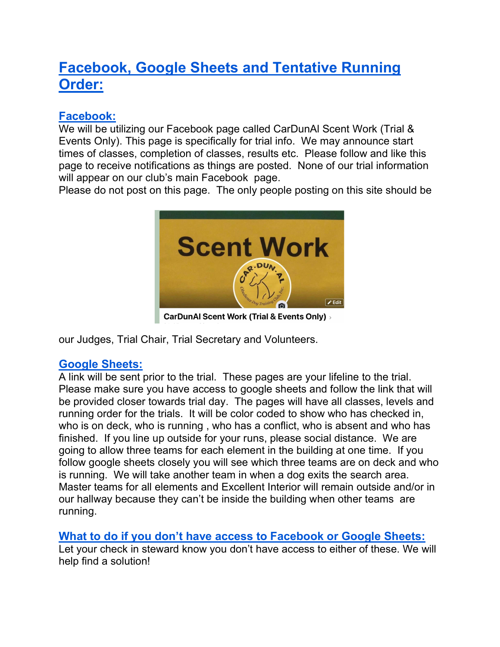# Facebook, Google Sheets and Tentative Running Order:

### Facebook:

We will be utilizing our Facebook page called CarDunAl Scent Work (Trial & Events Only). This page is specifically for trial info. We may announce start times of classes, completion of classes, results etc. Please follow and like this page to receive notifications as things are posted. None of our trial information will appear on our club's main Facebook page.

Please do not post on this page. The only people posting on this site should be



**CarDunAl Scent Work (Trial & Events Only)** 

our Judges, Trial Chair, Trial Secretary and Volunteers.

### Google Sheets:

A link will be sent prior to the trial. These pages are your lifeline to the trial. Please make sure you have access to google sheets and follow the link that will be provided closer towards trial day. The pages will have all classes, levels and running order for the trials. It will be color coded to show who has checked in, who is on deck, who is running , who has a conflict, who is absent and who has finished. If you line up outside for your runs, please social distance. We are going to allow three teams for each element in the building at one time. If you follow google sheets closely you will see which three teams are on deck and who is running. We will take another team in when a dog exits the search area. Master teams for all elements and Excellent Interior will remain outside and/or in our hallway because they can't be inside the building when other teams are running.

### What to do if you don't have access to Facebook or Google Sheets:

Let your check in steward know you don't have access to either of these. We will help find a solution!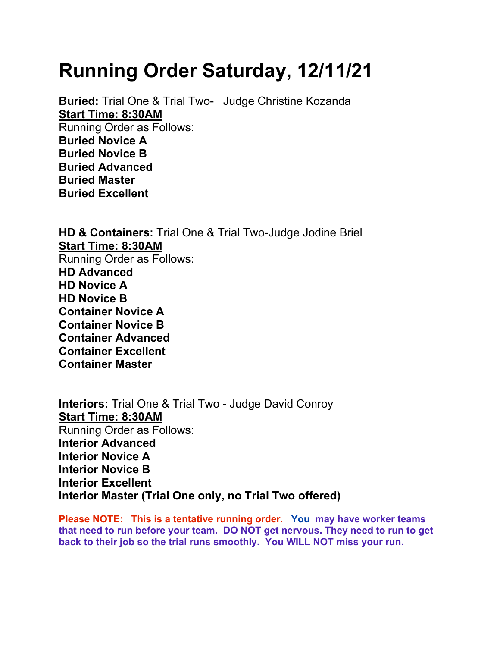# Running Order Saturday, 12/11/21

Buried: Trial One & Trial Two- Judge Christine Kozanda Start Time: 8:30AM Running Order as Follows: Buried Novice A Buried Novice B Buried Advanced Buried Master Buried Excellent

HD & Containers: Trial One & Trial Two-Judge Jodine Briel Start Time: 8:30AM Running Order as Follows: HD Advanced HD Novice A HD Novice B Container Novice A Container Novice B Container Advanced Container Excellent Container Master

Interiors: Trial One & Trial Two - Judge David Conroy Start Time: 8:30AM Running Order as Follows: Interior Advanced Interior Novice A Interior Novice B Interior Excellent Interior Master (Trial One only, no Trial Two offered)

Please NOTE: This is a tentative running order. You may have worker teams that need to run before your team. DO NOT get nervous. They need to run to get back to their job so the trial runs smoothly. You WILL NOT miss your run.